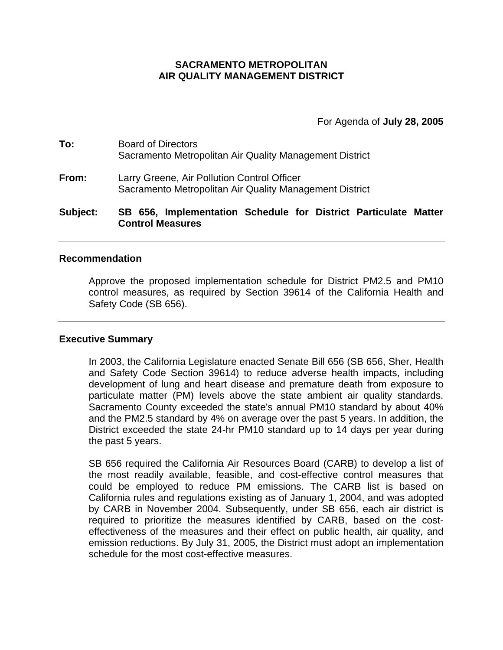# **SACRAMENTO METROPOLITAN AIR QUALITY MANAGEMENT DISTRICT**

For Agenda of **July 28, 2005**

**To:** Board of Directors Sacramento Metropolitan Air Quality Management District **From:** Larry Greene, Air Pollution Control Officer Sacramento Metropolitan Air Quality Management District

**Subject: SB 656, Implementation Schedule for District Particulate Matter Control Measures**

#### **Recommendation**

Approve the proposed implementation schedule for District PM2.5 and PM10 control measures, as required by Section 39614 of the California Health and Safety Code (SB 656).

## **Executive Summary**

In 2003, the California Legislature enacted Senate Bill 656 (SB 656, Sher, Health and Safety Code Section 39614) to reduce adverse health impacts, including development of lung and heart disease and premature death from exposure to particulate matter (PM) levels above the state ambient air quality standards. Sacramento County exceeded the state's annual PM10 standard by about 40% and the PM2.5 standard by 4% on average over the past 5 years. In addition, the District exceeded the state 24-hr PM10 standard up to 14 days per year during the past 5 years.

SB 656 required the California Air Resources Board (CARB) to develop a list of the most readily available, feasible, and cost-effective control measures that could be employed to reduce PM emissions. The CARB list is based on California rules and regulations existing as of January 1, 2004, and was adopted by CARB in November 2004. Subsequently, under SB 656, each air district is required to prioritize the measures identified by CARB, based on the costeffectiveness of the measures and their effect on public health, air quality, and emission reductions. By July 31, 2005, the District must adopt an implementation schedule for the most cost-effective measures.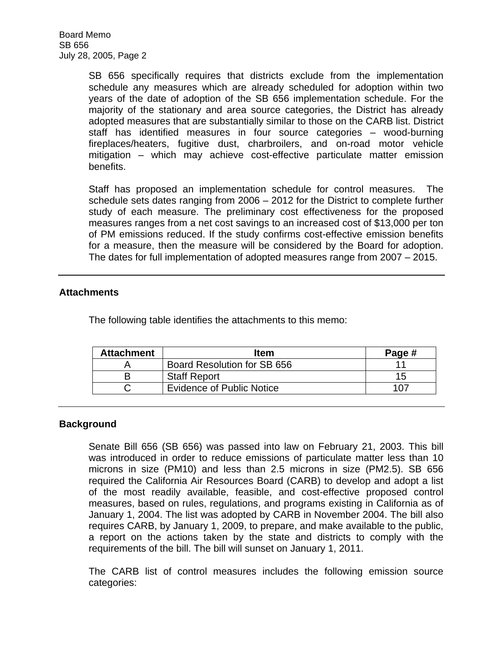> SB 656 specifically requires that districts exclude from the implementation schedule any measures which are already scheduled for adoption within two years of the date of adoption of the SB 656 implementation schedule. For the majority of the stationary and area source categories, the District has already adopted measures that are substantially similar to those on the CARB list. District staff has identified measures in four source categories – wood-burning fireplaces/heaters, fugitive dust, charbroilers, and on-road motor vehicle mitigation – which may achieve cost-effective particulate matter emission benefits.

> Staff has proposed an implementation schedule for control measures. The schedule sets dates ranging from 2006 – 2012 for the District to complete further study of each measure. The preliminary cost effectiveness for the proposed measures ranges from a net cost savings to an increased cost of \$13,000 per ton of PM emissions reduced. If the study confirms cost-effective emission benefits for a measure, then the measure will be considered by the Board for adoption. The dates for full implementation of adopted measures range from 2007 – 2015.

## **Attachments**

The following table identifies the attachments to this memo:

| <b>Attachment</b> | <b>Item</b>                 | Page # |
|-------------------|-----------------------------|--------|
|                   | Board Resolution for SB 656 |        |
|                   | <b>Staff Report</b>         | 15     |
|                   | Evidence of Public Notice   |        |

## **Background**

Senate Bill 656 (SB 656) was passed into law on February 21, 2003. This bill was introduced in order to reduce emissions of particulate matter less than 10 microns in size (PM10) and less than 2.5 microns in size (PM2.5). SB 656 required the California Air Resources Board (CARB) to develop and adopt a list of the most readily available, feasible, and cost-effective proposed control measures, based on rules, regulations, and programs existing in California as of January 1, 2004. The list was adopted by CARB in November 2004. The bill also requires CARB, by January 1, 2009, to prepare, and make available to the public, a report on the actions taken by the state and districts to comply with the requirements of the bill. The bill will sunset on January 1, 2011.

The CARB list of control measures includes the following emission source categories: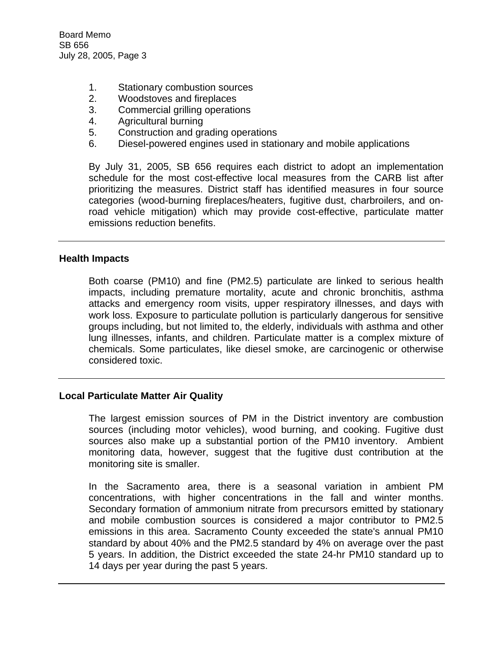- 1. Stationary combustion sources
- 2. Woodstoves and fireplaces
- 3. Commercial grilling operations
- 4. Agricultural burning
- 5. Construction and grading operations
- 6. Diesel-powered engines used in stationary and mobile applications

By July 31, 2005, SB 656 requires each district to adopt an implementation schedule for the most cost-effective local measures from the CARB list after prioritizing the measures. District staff has identified measures in four source categories (wood-burning fireplaces/heaters, fugitive dust, charbroilers, and onroad vehicle mitigation) which may provide cost-effective, particulate matter emissions reduction benefits.

## **Health Impacts**

Both coarse (PM10) and fine (PM2.5) particulate are linked to serious health impacts, including premature mortality, acute and chronic bronchitis, asthma attacks and emergency room visits, upper respiratory illnesses, and days with work loss. Exposure to particulate pollution is particularly dangerous for sensitive groups including, but not limited to, the elderly, individuals with asthma and other lung illnesses, infants, and children. Particulate matter is a complex mixture of chemicals. Some particulates, like diesel smoke, are carcinogenic or otherwise considered toxic.

## **Local Particulate Matter Air Quality**

The largest emission sources of PM in the District inventory are combustion sources (including motor vehicles), wood burning, and cooking. Fugitive dust sources also make up a substantial portion of the PM10 inventory. Ambient monitoring data, however, suggest that the fugitive dust contribution at the monitoring site is smaller.

In the Sacramento area, there is a seasonal variation in ambient PM concentrations, with higher concentrations in the fall and winter months. Secondary formation of ammonium nitrate from precursors emitted by stationary and mobile combustion sources is considered a major contributor to PM2.5 emissions in this area. Sacramento County exceeded the state's annual PM10 standard by about 40% and the PM2.5 standard by 4% on average over the past 5 years. In addition, the District exceeded the state 24-hr PM10 standard up to 14 days per year during the past 5 years.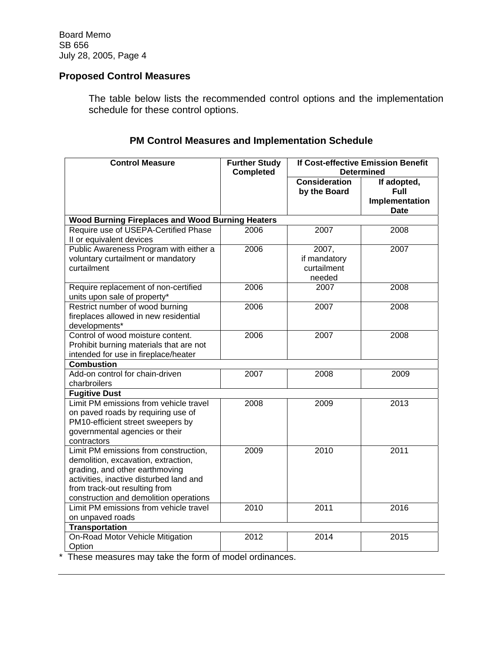# **Proposed Control Measures**

The table below lists the recommended control options and the implementation schedule for these control options.

| <b>PM Control Measures and Implementation Schedule</b> |  |
|--------------------------------------------------------|--|
|--------------------------------------------------------|--|

| <b>Control Measure</b>                                                                                                                                                                                                               | <b>Further Study</b><br><b>Completed</b> | <b>If Cost-effective Emission Benefit</b><br><b>Determined</b> |                                                      |
|--------------------------------------------------------------------------------------------------------------------------------------------------------------------------------------------------------------------------------------|------------------------------------------|----------------------------------------------------------------|------------------------------------------------------|
|                                                                                                                                                                                                                                      |                                          | <b>Consideration</b><br>by the Board                           | If adopted,<br><b>Full</b><br>Implementation<br>Date |
| <b>Wood Burning Fireplaces and Wood Burning Heaters</b>                                                                                                                                                                              |                                          |                                                                |                                                      |
| Require use of USEPA-Certified Phase<br>II or equivalent devices                                                                                                                                                                     | 2006                                     | 2007                                                           | 2008                                                 |
| Public Awareness Program with either a<br>voluntary curtailment or mandatory<br>curtailment                                                                                                                                          | 2006                                     | 2007,<br>if mandatory<br>curtailment<br>needed                 | 2007                                                 |
| Require replacement of non-certified<br>units upon sale of property*                                                                                                                                                                 | 2006                                     | 2007                                                           | 2008                                                 |
| Restrict number of wood burning<br>fireplaces allowed in new residential<br>developments*                                                                                                                                            | 2006                                     | 2007                                                           | 2008                                                 |
| Control of wood moisture content.<br>Prohibit burning materials that are not<br>intended for use in fireplace/heater                                                                                                                 | 2006                                     | 2007                                                           | 2008                                                 |
| <b>Combustion</b>                                                                                                                                                                                                                    |                                          |                                                                |                                                      |
| Add-on control for chain-driven<br>charbroilers                                                                                                                                                                                      | 2007                                     | 2008                                                           | 2009                                                 |
| <b>Fugitive Dust</b>                                                                                                                                                                                                                 |                                          |                                                                |                                                      |
| Limit PM emissions from vehicle travel<br>on paved roads by requiring use of<br>PM10-efficient street sweepers by<br>governmental agencies or their<br>contractors                                                                   | 2008                                     | 2009                                                           | 2013                                                 |
| Limit PM emissions from construction,<br>demolition, excavation, extraction,<br>grading, and other earthmoving<br>activities, inactive disturbed land and<br>from track-out resulting from<br>construction and demolition operations | 2009                                     | 2010                                                           | 2011                                                 |
| Limit PM emissions from vehicle travel<br>on unpaved roads                                                                                                                                                                           | 2010                                     | 2011                                                           | 2016                                                 |
| <b>Transportation</b>                                                                                                                                                                                                                |                                          |                                                                |                                                      |
| On-Road Motor Vehicle Mitigation<br>Option                                                                                                                                                                                           | 2012                                     | 2014                                                           | 2015                                                 |

\* These measures may take the form of model ordinances.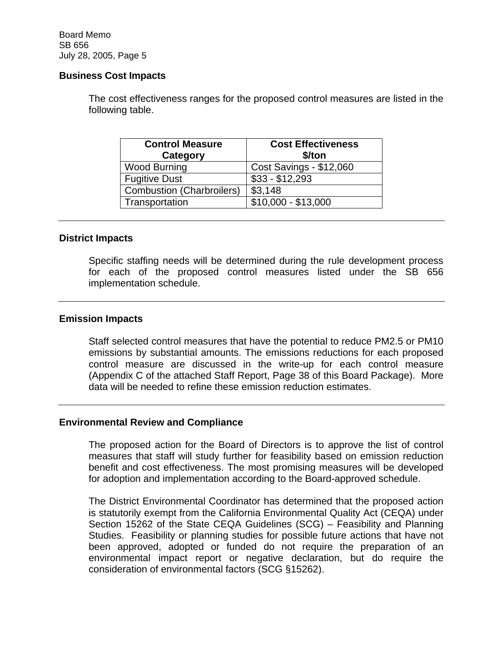## **Business Cost Impacts**

The cost effectiveness ranges for the proposed control measures are listed in the following table.

| <b>Control Measure</b><br>Category | <b>Cost Effectiveness</b><br>\$/ton |
|------------------------------------|-------------------------------------|
| <b>Wood Burning</b>                | <b>Cost Savings - \$12,060</b>      |
| <b>Fugitive Dust</b>               | $$33 - $12,293$                     |
| <b>Combustion (Charbroilers)</b>   | \$3,148                             |
| Transportation                     | $$10,000 - $13,000$                 |

## **District Impacts**

Specific staffing needs will be determined during the rule development process for each of the proposed control measures listed under the SB 656 implementation schedule.

#### **Emission Impacts**

Staff selected control measures that have the potential to reduce PM2.5 or PM10 emissions by substantial amounts. The emissions reductions for each proposed control measure are discussed in the write-up for each control measure (Appendix C of the attached Staff Report, Page 38 of this Board Package). More data will be needed to refine these emission reduction estimates.

## **Environmental Review and Compliance**

The proposed action for the Board of Directors is to approve the list of control measures that staff will study further for feasibility based on emission reduction benefit and cost effectiveness. The most promising measures will be developed for adoption and implementation according to the Board-approved schedule.

The District Environmental Coordinator has determined that the proposed action is statutorily exempt from the California Environmental Quality Act (CEQA) under Section 15262 of the State CEQA Guidelines (SCG) – Feasibility and Planning Studies. Feasibility or planning studies for possible future actions that have not been approved, adopted or funded do not require the preparation of an environmental impact report or negative declaration, but do require the consideration of environmental factors (SCG §15262).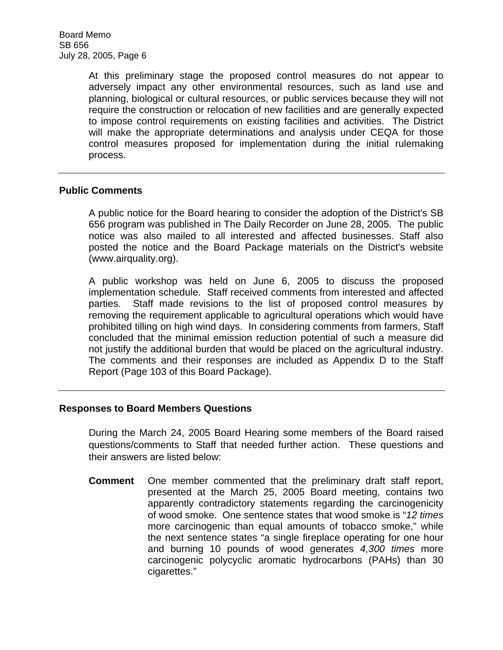> At this preliminary stage the proposed control measures do not appear to adversely impact any other environmental resources, such as land use and planning, biological or cultural resources, or public services because they will not require the construction or relocation of new facilities and are generally expected to impose control requirements on existing facilities and activities. The District will make the appropriate determinations and analysis under CEQA for those control measures proposed for implementation during the initial rulemaking process.

## **Public Comments**

A public notice for the Board hearing to consider the adoption of the District's SB 656 program was published in The Daily Recorder on June 28, 2005. The public notice was also mailed to all interested and affected businesses. Staff also posted the notice and the Board Package materials on the District's website (www.airquality.org).

A public workshop was held on June 6, 2005 to discuss the proposed implementation schedule. Staff received comments from interested and affected parties. Staff made revisions to the list of proposed control measures by removing the requirement applicable to agricultural operations which would have prohibited tilling on high wind days. In considering comments from farmers, Staff concluded that the minimal emission reduction potential of such a measure did not justify the additional burden that would be placed on the agricultural industry. The comments and their responses are included as Appendix D to the Staff Report (Page 103 of this Board Package).

#### **Responses to Board Members Questions**

 During the March 24, 2005 Board Hearing some members of the Board raised questions/comments to Staff that needed further action. These questions and their answers are listed below:

**Comment** One member commented that the preliminary draft staff report, presented at the March 25, 2005 Board meeting, contains two apparently contradictory statements regarding the carcinogenicity of wood smoke. One sentence states that wood smoke is "*12 times* more carcinogenic than equal amounts of tobacco smoke," while the next sentence states "a single fireplace operating for one hour and burning 10 pounds of wood generates *4,300 times* more carcinogenic polycyclic aromatic hydrocarbons (PAHs) than 30 cigarettes."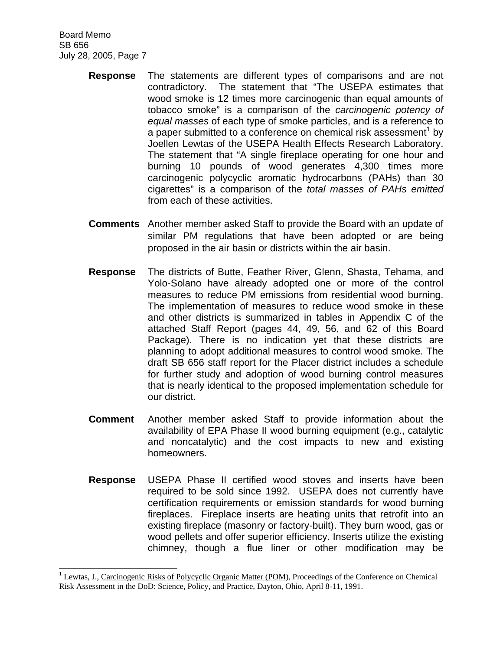$\overline{\phantom{a}}$ 

- **Response** The statements are different types of comparisons and are not contradictory. The statement that "The USEPA estimates that wood smoke is 12 times more carcinogenic than equal amounts of tobacco smoke" is a comparison of the *carcinogenic potency of equal masses* of each type of smoke particles, and is a reference to a paper submitted to a conference on chemical risk assessment<sup>1</sup> by Joellen Lewtas of the USEPA Health Effects Research Laboratory. The statement that "A single fireplace operating for one hour and burning 10 pounds of wood generates 4,300 times more carcinogenic polycyclic aromatic hydrocarbons (PAHs) than 30 cigarettes" is a comparison of the *total masses of PAHs emitted* from each of these activities.
- **Comments** Another member asked Staff to provide the Board with an update of similar PM regulations that have been adopted or are being proposed in the air basin or districts within the air basin.
- **Response** The districts of Butte, Feather River, Glenn, Shasta, Tehama, and Yolo-Solano have already adopted one or more of the control measures to reduce PM emissions from residential wood burning. The implementation of measures to reduce wood smoke in these and other districts is summarized in tables in Appendix C of the attached Staff Report (pages 44, 49, 56, and 62 of this Board Package). There is no indication yet that these districts are planning to adopt additional measures to control wood smoke. The draft SB 656 staff report for the Placer district includes a schedule for further study and adoption of wood burning control measures that is nearly identical to the proposed implementation schedule for our district.
- **Comment** Another member asked Staff to provide information about the availability of EPA Phase II wood burning equipment (e.g., catalytic and noncatalytic) and the cost impacts to new and existing homeowners.
- **Response** USEPA Phase II certified wood stoves and inserts have been required to be sold since 1992. USEPA does not currently have certification requirements or emission standards for wood burning fireplaces. Fireplace inserts are heating units that retrofit into an existing fireplace (masonry or factory-built). They burn wood, gas or wood pellets and offer superior efficiency. Inserts utilize the existing chimney, though a flue liner or other modification may be

<sup>&</sup>lt;sup>1</sup> Lewtas, J., Carcinogenic Risks of Polycyclic Organic Matter (POM), Proceedings of the Conference on Chemical Risk Assessment in the DoD: Science, Policy, and Practice, Dayton, Ohio, April 8-11, 1991.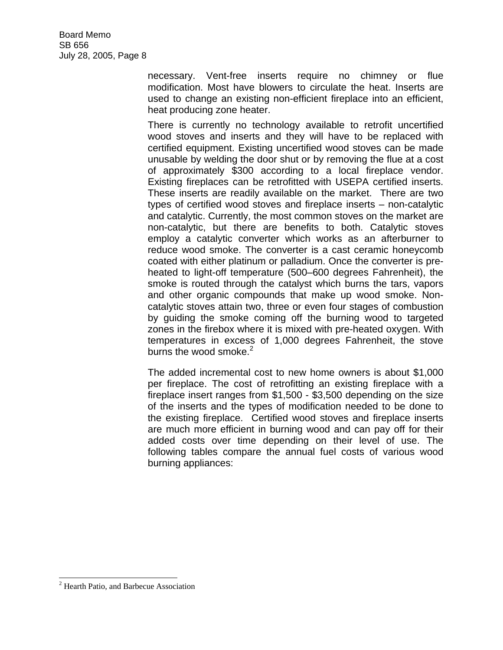> necessary. Vent-free inserts require no chimney or flue modification. Most have blowers to circulate the heat. Inserts are used to change an existing non-efficient fireplace into an efficient, heat producing zone heater.

> There is currently no technology available to retrofit uncertified wood stoves and inserts and they will have to be replaced with certified equipment. Existing uncertified wood stoves can be made unusable by welding the door shut or by removing the flue at a cost of approximately \$300 according to a local fireplace vendor. Existing fireplaces can be retrofitted with USEPA certified inserts. These inserts are readily available on the market. There are two types of certified wood stoves and fireplace inserts – non-catalytic and catalytic. Currently, the most common stoves on the market are non-catalytic, but there are benefits to both. Catalytic stoves employ a catalytic converter which works as an afterburner to reduce wood smoke. The converter is a cast ceramic honeycomb coated with either platinum or palladium. Once the converter is preheated to light-off temperature (500–600 degrees Fahrenheit), the smoke is routed through the catalyst which burns the tars, vapors and other organic compounds that make up wood smoke. Noncatalytic stoves attain two, three or even four stages of combustion by guiding the smoke coming off the burning wood to targeted zones in the firebox where it is mixed with pre-heated oxygen. With temperatures in excess of 1,000 degrees Fahrenheit, the stove burns the wood smoke. $2$

> The added incremental cost to new home owners is about \$1,000 per fireplace. The cost of retrofitting an existing fireplace with a fireplace insert ranges from \$1,500 - \$3,500 depending on the size of the inserts and the types of modification needed to be done to the existing fireplace. Certified wood stoves and fireplace inserts are much more efficient in burning wood and can pay off for their added costs over time depending on their level of use. The following tables compare the annual fuel costs of various wood burning appliances:

 $\overline{\phantom{a}}$ 

<sup>&</sup>lt;sup>2</sup> Hearth Patio, and Barbecue Association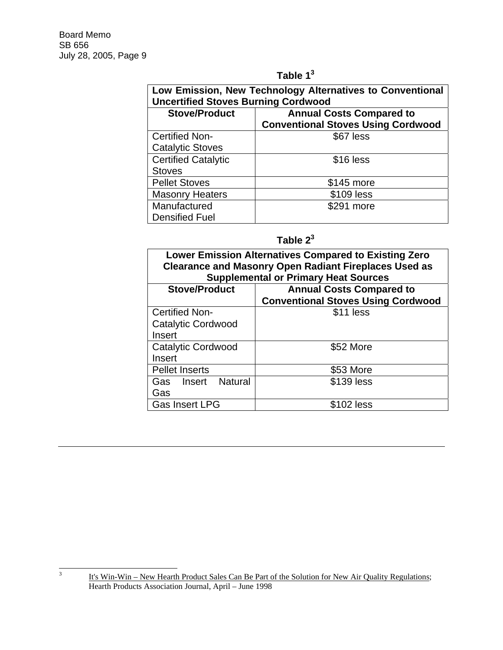3

| Table |  |
|-------|--|
|-------|--|

| Low Emission, New Technology Alternatives to Conventional<br><b>Uncertified Stoves Burning Cordwood</b> |                                           |  |
|---------------------------------------------------------------------------------------------------------|-------------------------------------------|--|
| <b>Stove/Product</b>                                                                                    | <b>Annual Costs Compared to</b>           |  |
|                                                                                                         | <b>Conventional Stoves Using Cordwood</b> |  |
| <b>Certified Non-</b>                                                                                   | \$67 less                                 |  |
| <b>Catalytic Stoves</b>                                                                                 |                                           |  |
| <b>Certified Catalytic</b>                                                                              | \$16 less                                 |  |
| <b>Stoves</b>                                                                                           |                                           |  |
| <b>Pellet Stoves</b>                                                                                    | \$145 more                                |  |
| <b>Masonry Heaters</b>                                                                                  | \$109 less                                |  |
| Manufactured                                                                                            | \$291 more                                |  |
| <b>Densified Fuel</b>                                                                                   |                                           |  |

**Table 23**

| <b>Lower Emission Alternatives Compared to Existing Zero</b><br><b>Clearance and Masonry Open Radiant Fireplaces Used as</b><br><b>Supplemental or Primary Heat Sources</b> |                                                                              |  |
|-----------------------------------------------------------------------------------------------------------------------------------------------------------------------------|------------------------------------------------------------------------------|--|
| <b>Stove/Product</b>                                                                                                                                                        | <b>Annual Costs Compared to</b><br><b>Conventional Stoves Using Cordwood</b> |  |
| <b>Certified Non-</b>                                                                                                                                                       | \$11 less                                                                    |  |
| Catalytic Cordwood                                                                                                                                                          |                                                                              |  |
| Insert                                                                                                                                                                      |                                                                              |  |
| Catalytic Cordwood                                                                                                                                                          | \$52 More                                                                    |  |
| Insert                                                                                                                                                                      |                                                                              |  |
| <b>Pellet Inserts</b>                                                                                                                                                       | \$53 More                                                                    |  |
| Gas Insert Natural                                                                                                                                                          | \$139 less                                                                   |  |
| Gas                                                                                                                                                                         |                                                                              |  |
| <b>Gas Insert LPG</b>                                                                                                                                                       | 2 less                                                                       |  |

It's Win-Win – New Hearth Product Sales Can Be Part of the Solution for New Air Quality Regulations; Hearth Products Association Journal, April – June 1998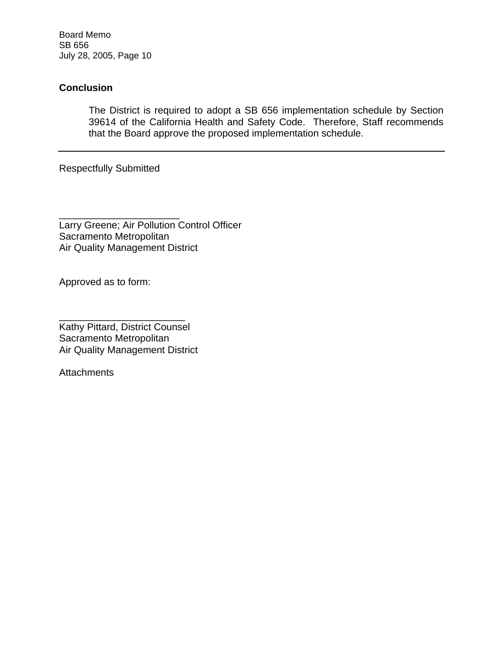# **Conclusion**

The District is required to adopt a SB 656 implementation schedule by Section 39614 of the California Health and Safety Code. Therefore, Staff recommends that the Board approve the proposed implementation schedule.

Respectfully Submitted

\_\_\_\_\_\_\_\_\_\_\_\_\_\_\_\_\_\_\_\_\_\_ Larry Greene; Air Pollution Control Officer Sacramento Metropolitan Air Quality Management District

Approved as to form:

\_\_\_\_\_\_\_\_\_\_\_\_\_\_\_\_\_\_\_\_\_\_\_ Kathy Pittard, District Counsel Sacramento Metropolitan Air Quality Management District

**Attachments**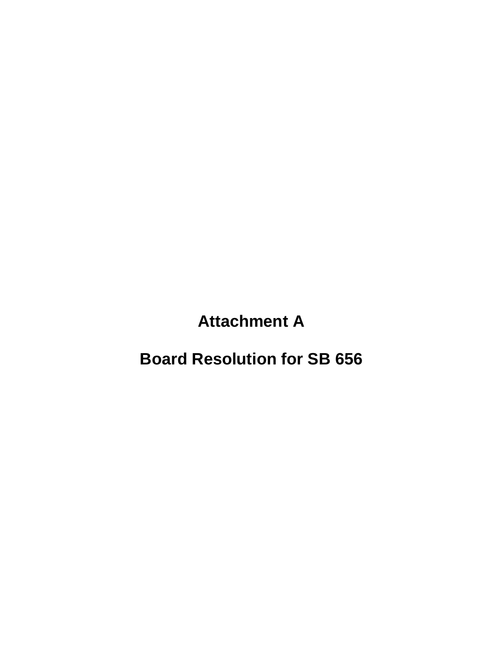**Attachment A** 

**Board Resolution for SB 656**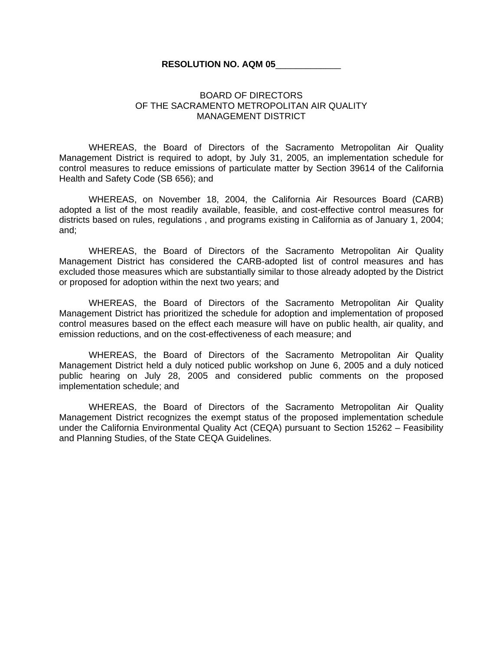#### **RESOLUTION NO. AQM 05**\_\_\_\_\_\_\_\_\_\_\_\_\_

#### BOARD OF DIRECTORS OF THE SACRAMENTO METROPOLITAN AIR QUALITY MANAGEMENT DISTRICT

WHEREAS, the Board of Directors of the Sacramento Metropolitan Air Quality Management District is required to adopt, by July 31, 2005, an implementation schedule for control measures to reduce emissions of particulate matter by Section 39614 of the California Health and Safety Code (SB 656); and

WHEREAS, on November 18, 2004, the California Air Resources Board (CARB) adopted a list of the most readily available, feasible, and cost-effective control measures for districts based on rules, regulations , and programs existing in California as of January 1, 2004; and;

WHEREAS, the Board of Directors of the Sacramento Metropolitan Air Quality Management District has considered the CARB-adopted list of control measures and has excluded those measures which are substantially similar to those already adopted by the District or proposed for adoption within the next two years; and

WHEREAS, the Board of Directors of the Sacramento Metropolitan Air Quality Management District has prioritized the schedule for adoption and implementation of proposed control measures based on the effect each measure will have on public health, air quality, and emission reductions, and on the cost-effectiveness of each measure; and

WHEREAS, the Board of Directors of the Sacramento Metropolitan Air Quality Management District held a duly noticed public workshop on June 6, 2005 and a duly noticed public hearing on July 28, 2005 and considered public comments on the proposed implementation schedule; and

WHEREAS, the Board of Directors of the Sacramento Metropolitan Air Quality Management District recognizes the exempt status of the proposed implementation schedule under the California Environmental Quality Act (CEQA) pursuant to Section 15262 – Feasibility and Planning Studies, of the State CEQA Guidelines.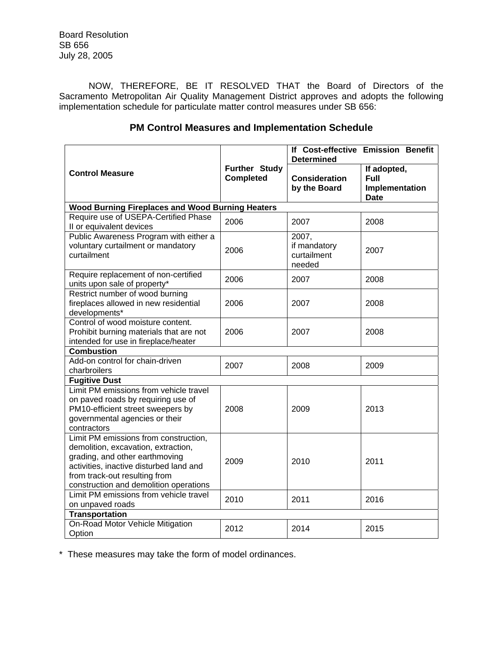Board Resolution SB 656 July 28, 2005

NOW, THEREFORE, BE IT RESOLVED THAT the Board of Directors of the Sacramento Metropolitan Air Quality Management District approves and adopts the following implementation schedule for particulate matter control measures under SB 656:

|                                                                                                                                                                                                                                      | <b>Further Study</b><br><b>Completed</b> | If Cost-effective Emission Benefit<br><b>Determined</b> |                                                      |
|--------------------------------------------------------------------------------------------------------------------------------------------------------------------------------------------------------------------------------------|------------------------------------------|---------------------------------------------------------|------------------------------------------------------|
| <b>Control Measure</b>                                                                                                                                                                                                               |                                          | <b>Consideration</b><br>by the Board                    | If adopted,<br>Full<br>Implementation<br><b>Date</b> |
| <b>Wood Burning Fireplaces and Wood Burning Heaters</b>                                                                                                                                                                              |                                          |                                                         |                                                      |
| Require use of USEPA-Certified Phase<br>II or equivalent devices                                                                                                                                                                     | 2006                                     | 2007                                                    | 2008                                                 |
| Public Awareness Program with either a<br>voluntary curtailment or mandatory<br>curtailment                                                                                                                                          | 2006                                     | 2007,<br>if mandatory<br>curtailment<br>needed          | 2007                                                 |
| Require replacement of non-certified<br>units upon sale of property*                                                                                                                                                                 | 2006                                     | 2007                                                    | 2008                                                 |
| Restrict number of wood burning<br>fireplaces allowed in new residential<br>developments*                                                                                                                                            | 2006                                     | 2007                                                    | 2008                                                 |
| Control of wood moisture content.<br>Prohibit burning materials that are not<br>intended for use in fireplace/heater                                                                                                                 | 2006                                     | 2007                                                    | 2008                                                 |
| <b>Combustion</b>                                                                                                                                                                                                                    |                                          |                                                         |                                                      |
| Add-on control for chain-driven<br>charbroilers                                                                                                                                                                                      | 2007                                     | 2008                                                    | 2009                                                 |
| <b>Fugitive Dust</b>                                                                                                                                                                                                                 |                                          |                                                         |                                                      |
| Limit PM emissions from vehicle travel<br>on paved roads by requiring use of<br>PM10-efficient street sweepers by<br>governmental agencies or their<br>contractors                                                                   | 2008                                     | 2009                                                    | 2013                                                 |
| Limit PM emissions from construction,<br>demolition, excavation, extraction,<br>grading, and other earthmoving<br>activities, inactive disturbed land and<br>from track-out resulting from<br>construction and demolition operations | 2009                                     | 2010                                                    | 2011                                                 |
| Limit PM emissions from vehicle travel<br>on unpaved roads                                                                                                                                                                           | 2010                                     | 2011                                                    | 2016                                                 |
| <b>Transportation</b>                                                                                                                                                                                                                |                                          |                                                         |                                                      |
| On-Road Motor Vehicle Mitigation<br>Option                                                                                                                                                                                           | 2012                                     | 2014                                                    | 2015                                                 |

# **PM Control Measures and Implementation Schedule**

\* These measures may take the form of model ordinances.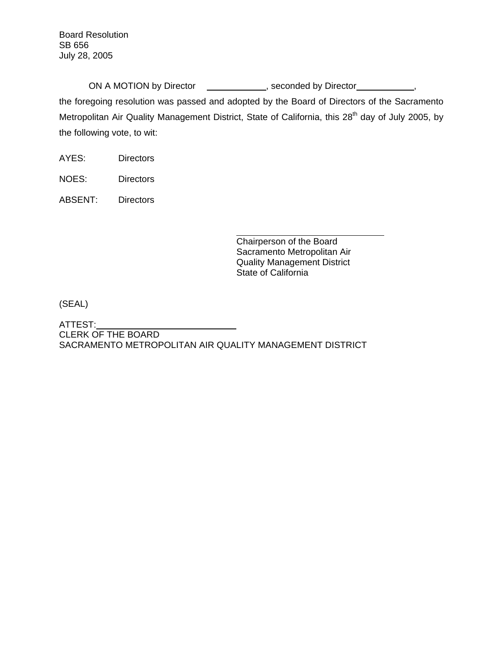Board Resolution SB 656 July 28, 2005

ON A MOTION by Director (and its conded by Director and its conded by Director and its conded by Director  $\sim$ the foregoing resolution was passed and adopted by the Board of Directors of the Sacramento Metropolitan Air Quality Management District, State of California, this 28<sup>th</sup> day of July 2005, by the following vote, to wit:

- AYES: Directors
- NOES: Directors
- ABSENT: Directors

Chairperson of the Board Sacramento Metropolitan Air Quality Management District State of California

(SEAL)

ATTEST: CLERK OF THE BOARD SACRAMENTO METROPOLITAN AIR QUALITY MANAGEMENT DISTRICT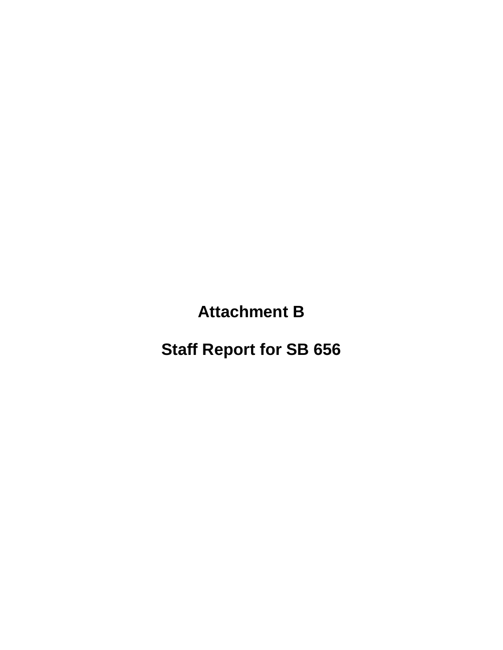**Attachment B** 

**Staff Report for SB 656**